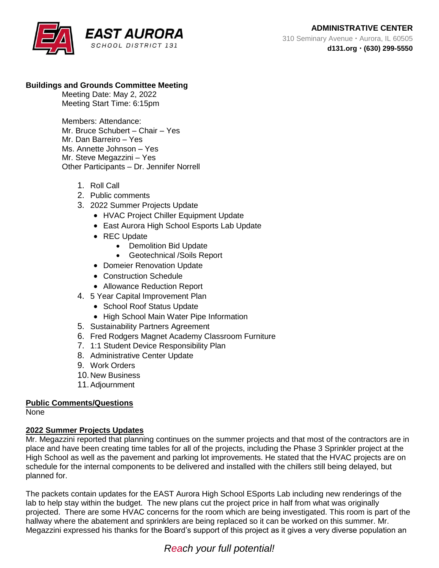## **Buildings and Grounds Committee Meeting**

Meeting Date: May 2, 2022 Meeting Start Time: 6:15pm

Members: Attendance: Mr. Bruce Schubert – Chair – Yes Mr. Dan Barreiro – Yes Ms. Annette Johnson – Yes Mr. Steve Megazzini – Yes Other Participants – Dr. Jennifer Norrell

- 1. Roll Call
- 2. Public comments
- 3. 2022 Summer Projects Update
	- HVAC Project Chiller Equipment Update
	- East Aurora High School Esports Lab Update
	- REC Update
		- Demolition Bid Update
		- Geotechnical /Soils Report
	- Domeier Renovation Update
	- Construction Schedule
	- Allowance Reduction Report
- 4. 5 Year Capital Improvement Plan
	- School Roof Status Update
	- High School Main Water Pipe Information
- 5. Sustainability Partners Agreement
- 6. Fred Rodgers Magnet Academy Classroom Furniture
- 7. 1:1 Student Device Responsibility Plan
- 8. Administrative Center Update
- 9. Work Orders
- 10. New Business
- 11.Adjournment

## **Public Comments/Questions**

None

## **2022 Summer Projects Updates**

Mr. Megazzini reported that planning continues on the summer projects and that most of the contractors are in place and have been creating time tables for all of the projects, including the Phase 3 Sprinkler project at the High School as well as the pavement and parking lot improvements. He stated that the HVAC projects are on schedule for the internal components to be delivered and installed with the chillers still being delayed, but planned for.

The packets contain updates for the EAST Aurora High School ESports Lab including new renderings of the lab to help stay within the budget. The new plans cut the project price in half from what was originally projected. There are some HVAC concerns for the room which are being investigated. This room is part of the hallway where the abatement and sprinklers are being replaced so it can be worked on this summer. Mr. Megazzini expressed his thanks for the Board's support of this project as it gives a very diverse population an

# *Reach your full potential!*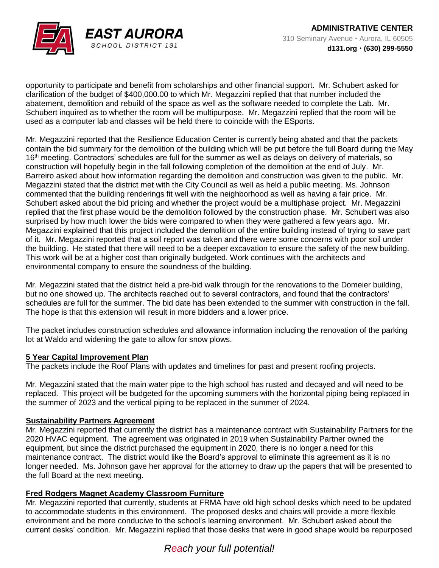

opportunity to participate and benefit from scholarships and other financial support. Mr. Schubert asked for clarification of the budget of \$400,000.00 to which Mr. Megazzini replied that that number included the abatement, demolition and rebuild of the space as well as the software needed to complete the Lab. Mr. Schubert inquired as to whether the room will be multipurpose. Mr. Megazzini replied that the room will be used as a computer lab and classes will be held there to coincide with the ESports.

Mr. Megazzini reported that the Resilience Education Center is currently being abated and that the packets contain the bid summary for the demolition of the building which will be put before the full Board during the May 16<sup>th</sup> meeting. Contractors' schedules are full for the summer as well as delays on delivery of materials, so construction will hopefully begin in the fall following completion of the demolition at the end of July. Mr. Barreiro asked about how information regarding the demolition and construction was given to the public. Mr. Megazzini stated that the district met with the City Council as well as held a public meeting. Ms. Johnson commented that the building renderings fit well with the neighborhood as well as having a fair price. Mr. Schubert asked about the bid pricing and whether the project would be a multiphase project. Mr. Megazzini replied that the first phase would be the demolition followed by the construction phase. Mr. Schubert was also surprised by how much lower the bids were compared to when they were gathered a few years ago. Mr. Megazzini explained that this project included the demolition of the entire building instead of trying to save part of it. Mr. Megazzini reported that a soil report was taken and there were some concerns with poor soil under the building. He stated that there will need to be a deeper excavation to ensure the safety of the new building. This work will be at a higher cost than originally budgeted. Work continues with the architects and environmental company to ensure the soundness of the building.

Mr. Megazzini stated that the district held a pre-bid walk through for the renovations to the Domeier building, but no one showed up. The architects reached out to several contractors, and found that the contractors' schedules are full for the summer. The bid date has been extended to the summer with construction in the fall. The hope is that this extension will result in more bidders and a lower price.

The packet includes construction schedules and allowance information including the renovation of the parking lot at Waldo and widening the gate to allow for snow plows.

## **5 Year Capital Improvement Plan**

The packets include the Roof Plans with updates and timelines for past and present roofing projects.

Mr. Megazzini stated that the main water pipe to the high school has rusted and decayed and will need to be replaced. This project will be budgeted for the upcoming summers with the horizontal piping being replaced in the summer of 2023 and the vertical piping to be replaced in the summer of 2024.

#### **Sustainability Partners Agreement**

Mr. Megazzini reported that currently the district has a maintenance contract with Sustainability Partners for the 2020 HVAC equipment. The agreement was originated in 2019 when Sustainability Partner owned the equipment, but since the district purchased the equipment in 2020, there is no longer a need for this maintenance contract. The district would like the Board's approval to eliminate this agreement as it is no longer needed. Ms. Johnson gave her approval for the attorney to draw up the papers that will be presented to the full Board at the next meeting.

## **Fred Rodgers Magnet Academy Classroom Furniture**

Mr. Megazzini reported that currently, students at FRMA have old high school desks which need to be updated to accommodate students in this environment. The proposed desks and chairs will provide a more flexible environment and be more conducive to the school's learning environment. Mr. Schubert asked about the current desks' condition. Mr. Megazzini replied that those desks that were in good shape would be repurposed

## *Reach your full potential!*